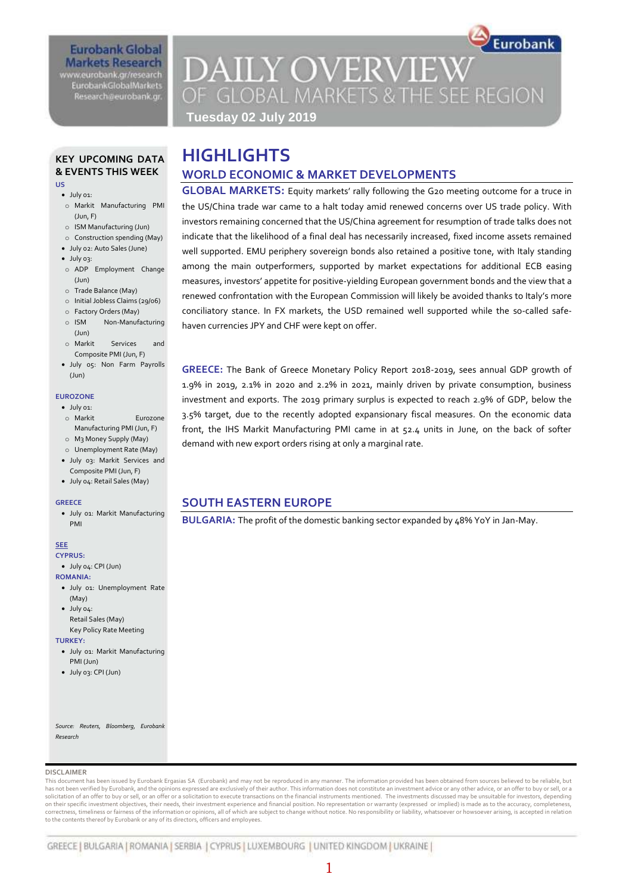## **Eurobank Global Markets Research**

www.eurobank.gr/research **EurobankGlobalMarkets** Research@eurobank.gr

# Eurobank **DAILY OVERVIEW** OF GLOBAL MARKETS & THE SEE REGION

**Tuesday 02 July 2019**

#### **KEY UPCOMING DATA & EVENTS THIS WEEK US**

- $\bullet$  luly  $01$
- o Markit Manufacturing PMI (Jun, F)
- o ISM Manufacturing (Jun)
- o Construction spending (May)
- July 02: Auto Sales (June)
- July 03:
- o ADP Employment Change (Jun)
- o Trade Balance (May)
- o Initial Jobless Claims (29/06)
- o Factory Orders (May)
- o ISM Non-Manufacturing (Jun)
- o Markit Services and Composite PMI (Jun, F)
- July 05: Non Farm Payrolls  $(\text{lim})$

#### **EUROZONE**

- $\bullet$  July 01:
- o Markit Eurozone Manufacturing PMI (Jun, F)
- o M3 Money Supply (May)
- o Unemployment Rate (May)
- July 03: Markit Services and Composite PMI (Jun, F)
- July 04: Retail Sales (May)

#### **GREECE**

 July 01: Markit Manufacturing PMI

#### **SEE**

- **CYPRUS:**   $\bullet$  July  $\alpha$ . CPI (Jun)
- **ROMANIA:**
- July 01: Unemployment Rate
- (May)
- July 04: Retail Sales (May) Key Policy Rate Meeting

#### **TURKEY:**

- July 01: Markit Manufacturing PMI (Jun)
- July 03: CPI (Jun)

*Source: Reuters, Bloomberg, Eurobank Research*

#### **DISCLAIMER**

This document has been issued by Eurobank Ergasias SA (Eurobank) and may not be reproduced in any manner. The information provided has been obtained from sources believed to be reliable, but has not been verified by Eurobank, and the opinions expressed are exclusively of their author. This information does not constitute an investment advice or any other advice, or an offer to buy or sell, or a solicitation of an offer to buy or sell, or an offer or a solicitation to execute transactions on the financial instruments mentioned. The investments discussed may be unsuitable for investors, depending on their specific investment objectives, their needs, their investment experience and financial position. No representation or warranty (expressed or implied) is made as to the accuracy, completeness, correctness, timeliness or fairness of the information or opinions, all of which are subject to change without notice. No responsibility or liability, whatsoever or howsoever arising, is accepted in relation to the contents thereof by Eurobank or any of its directors, officers and employees.



## **HIGHLIGHTS WORLD ECONOMIC & MARKET DEVELOPMENTS**

**GLOBAL MARKETS:** Equity markets' rally following the G20 meeting outcome for a truce in the US/China trade war came to a halt today amid renewed concerns over US trade policy. With investors remaining concerned that the US/China agreement for resumption of trade talks does not indicate that the likelihood of a final deal has necessarily increased, fixed income assets remained well supported. EMU periphery sovereign bonds also retained a positive tone, with Italy standing among the main outperformers, supported by market expectations for additional ECB easing measures, investors' appetite for positive-yielding European government bonds and the view that a renewed confrontation with the European Commission will likely be avoided thanks to Italy's more conciliatory stance. In FX markets, the USD remained well supported while the so-called safehaven currencies JPY and CHF were kept on offer.

**GREECE:** The Bank of Greece Monetary Policy Report 2018-2019, sees annual GDP growth of 1.9% in 2019, 2.1% in 2020 and 2.2% in 2021, mainly driven by private consumption, business investment and exports. The 2019 primary surplus is expected to reach 2.9% of GDP, below the 3.5% target, due to the recently adopted expansionary fiscal measures. On the economic data front, the IHS Markit Manufacturing PMI came in at 52.4 units in June, on the back of softer demand with new export orders rising at only a marginal rate.

### **SOUTH EASTERN EUROPE**

**BULGARIA:** The profit of the domestic banking sector expanded by 48% YoY in Jan-May.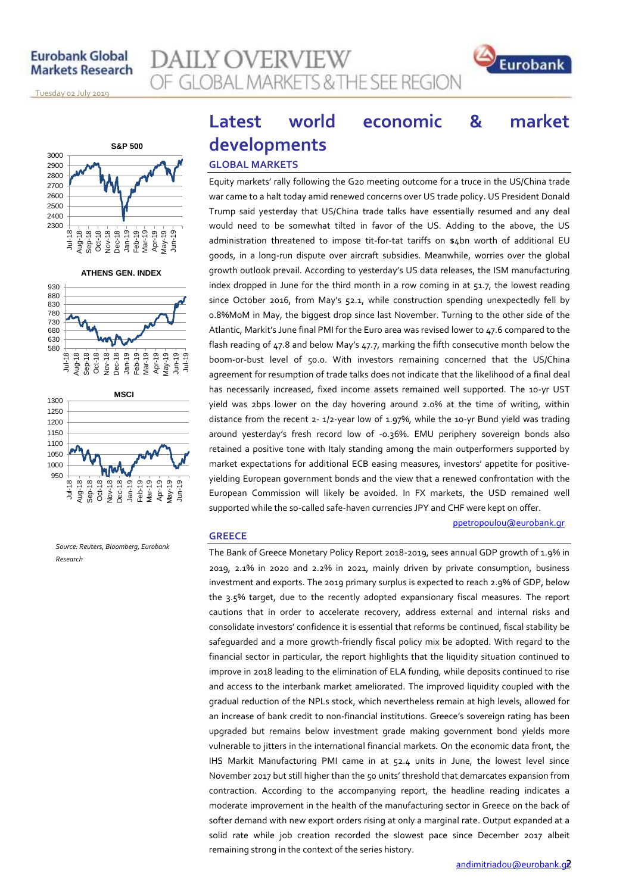## **Eurobank Global Markets Research**





<u>Tuesday o2 July 2019 </u>



**ATHENS GEN. INDEX**





*Source: Reuters, Bloomberg, Eurobank Research*

## **Latest world economic & market developments GLOBAL MARKETS**

Equity markets' rally following the G20 meeting outcome for a truce in the US/China trade war came to a halt today amid renewed concerns over US trade policy. US President Donald Trump said yesterday that US/China trade talks have essentially resumed and any deal would need to be somewhat tilted in favor of the US. Adding to the above, the US administration threatened to impose tit-for-tat tariffs on \$4bn worth of additional EU goods, in a long-run dispute over aircraft subsidies. Meanwhile, worries over the global growth outlook prevail. According to yesterday's US data releases, the ISM manufacturing index dropped in June for the third month in a row coming in at  $51.7$ , the lowest reading since October 2016, from May's 52.1, while construction spending unexpectedly fell by 0.8%MoM in May, the biggest drop since last November. Turning to the other side of the Atlantic, Markit's June final PMI for the Euro area was revised lower to 47.6 compared to the flash reading of 47.8 and below May's 47.7, marking the fifth consecutive month below the boom-or-bust level of 50.0. With investors remaining concerned that the US/China agreement for resumption of trade talks does not indicate that the likelihood of a final deal has necessarily increased, fixed income assets remained well supported. The 10-yr UST yield was 2bps lower on the day hovering around 2.0% at the time of writing, within distance from the recent 2- 1/2-year low of 1.97%, while the 10-yr Bund yield was trading around yesterday's fresh record low of -0.36%. EMU periphery sovereign bonds also retained a positive tone with Italy standing among the main outperformers supported by market expectations for additional ECB easing measures, investors' appetite for positiveyielding European government bonds and the view that a renewed confrontation with the European Commission will likely be avoided. In FX markets, the USD remained well supported while the so-called safe-haven currencies JPY and CHF were kept on offer.

#### **GREECE**

The Bank of Greece Monetary Policy Report 2018-2019, sees annual GDP growth of 1.9% in 2019, 2.1% in 2020 and 2.2% in 2021, mainly driven by private consumption, business investment and exports. The 2019 primary surplus is expected to reach 2.9% of GDP, below the 3.5% target, due to the recently adopted expansionary fiscal measures. The report cautions that in order to accelerate recovery, address external and internal risks and consolidate investors' confidence it is essential that reforms be continued, fiscal stability be safeguarded and a more growth-friendly fiscal policy mix be adopted. With regard to the financial sector in particular, the report highlights that the liquidity situation continued to improve in 2018 leading to the elimination of ELA funding, while deposits continued to rise and access to the interbank market ameliorated. The improved liquidity coupled with the gradual reduction of the NPLs stock, which nevertheless remain at high levels, allowed for an increase of bank credit to non-financial institutions. Greece's sovereign rating has been upgraded but remains below investment grade making government bond yields more vulnerable to jitters in the international financial markets. On the economic data front, the IHS Markit Manufacturing PMI came in at 52.4 units in June, the lowest level since November 2017 but still higher than the 50 units' threshold that demarcates expansion from contraction. According to the accompanying report, the headline reading indicates a moderate improvement in the health of the manufacturing sector in Greece on the back of softer demand with new export orders rising at only a marginal rate. Output expanded at a solid rate while job creation recorded the slowest pace since December 2017 albeit remaining strong in the context of the series history.

ppetropoulou[@eurobank.gr](mailto:ppetropoulou@eurobank.gr)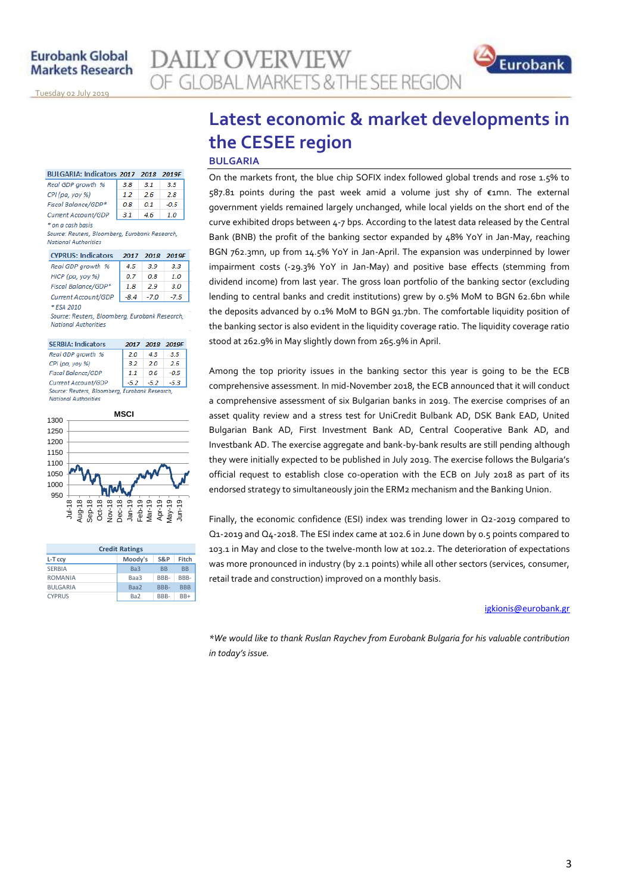<u>Tuesday o2 July 2019 </u>

| BULGARIA: Indicators 2017 2018 | 2019F |     |      |
|--------------------------------|-------|-----|------|
| Real GDP growth %              | 3.8   | 3.1 | 3.5  |
| CPI (pa, yoy %)                | 12    | 26  | 28   |
| Fiscal Balance/GDP*            | 0.8   | O 1 | -0.5 |
| Current Account/GDP            | 31    |     | 10   |

\* on a cash basis Source: Reuters, Bloomberg, Eurobank Research, **National Authorities** 

| <b>CYPRUS: Indicators</b> | 2017 | - 2018 | 2019F |
|---------------------------|------|--------|-------|
| Real GDP growth %         | 45   | 3.9    | 3.3   |
| HICP (pa, yoy %)          | 0.7  | OЯ     | 10    |
| Fiscal Balance/GDP*       | 1.8  | 29     | 30    |
| Current Account/GDP       | -8.4 | -7.0   | -7.5  |
| * ESA 2010                |      |        |       |

Source: Reuters, Bloomberg, Eurobank Research, **National Authorities** 

| <b>SERBIA: Indicators</b>                      | 2017   | 2018 | 2019F  |  |
|------------------------------------------------|--------|------|--------|--|
| Real GDP arowth %                              | 2.0    | 43   | 3.5    |  |
| CPI (pa, yoy %)                                | 32     | 20   | 26     |  |
| <b>Fiscal Balance/GDP</b>                      | 11     | 06   | $-0.5$ |  |
| Current Account/GDP                            | $-5.2$ | -5.2 | -5.3   |  |
| Source: Reuters, Bloomberg, Eurobank Research, |        |      |        |  |
| <b>National Authorities</b>                    |        |      |        |  |



| <b>Credit Ratings</b> |                 |                      |            |  |
|-----------------------|-----------------|----------------------|------------|--|
| L-T ccy               | Moody's         | S&P                  | Fitch      |  |
| <b>SERBIA</b>         | Ba3             | <b>R<sub>R</sub></b> | <b>BB</b>  |  |
| <b>ROMANIA</b>        | Baa3            | BBB-                 | BBB-       |  |
| <b>BULGARIA</b>       | Baa2            | RRR-                 | <b>BBB</b> |  |
| <b>CYPRUS</b>         | Ba <sub>2</sub> | BBB-                 | $BB+$      |  |

## **Latest economic & market developments in the CESEE region**

**BULGARIA**

**AILY OVERVIEW** 

OF GLOBAL MARKETS & THE SEE REGION

On the markets front, the blue chip SOFIX index followed global trends and rose 1.5% to 587.81 points during the past week amid a volume just shy of €1mn. The external government yields remained largely unchanged, while local yields on the short end of the curve exhibited drops between 4-7 bps. According to the latest data released by the Central Bank (BNB) the profit of the banking sector expanded by 48% YoY in Jan-May, reaching BGN 762.3mn, up from 14.5% YoY in Jan-April. The expansion was underpinned by lower impairment costs (-29.3% YoY in Jan-May) and positive base effects (stemming from dividend income) from last year. The gross loan portfolio of the banking sector (excluding lending to central banks and credit institutions) grew by 0.5% MoM to BGN 62.6bn while the deposits advanced by 0.1% MoM to BGN 91.7bn. The comfortable liquidity position of the banking sector is also evident in the liquidity coverage ratio. The liquidity coverage ratio stood at 262.9% in May slightly down from 265.9% in April.

Among the top priority issues in the banking sector this year is going to be the ECB comprehensive assessment. In mid-November 2018, the ECB announced that it will conduct a comprehensive assessment of six Bulgarian banks in 2019. The exercise comprises of an asset quality review and a stress test for UniCredit Bulbank AD, DSK Bank EAD, United Bulgarian Bank AD, First Investment Bank AD, Central Cooperative Bank AD, and Investbank AD. The exercise aggregate and bank-by-bank results are still pending although they were initially expected to be published in July 2019. The exercise follows the Bulgaria's official request to establish close co-operation with the ECB on July 2018 as part of its endorsed strategy to simultaneously join the ERM2 mechanism and the Banking Union.

Finally, the economic confidence (ESI) index was trending lower in Q2-2019 compared to Q1-2019 and Q4-2018. The ESI index came at 102.6 in June down by 0.5 points compared to 103.1 in May and close to the twelve-month low at 102.2. The deterioration of expectations was more pronounced in industry (by 2.1 points) while all other sectors (services, consumer, retail trade and construction) improved on a monthly basis.

#### [igkionis@eurobank.gr](mailto:igkionis@eurobank.gr)

Eurobank

*\*We would like to thank Ruslan Raychev from Eurobank Bulgaria for his valuable contribution in today's issue.*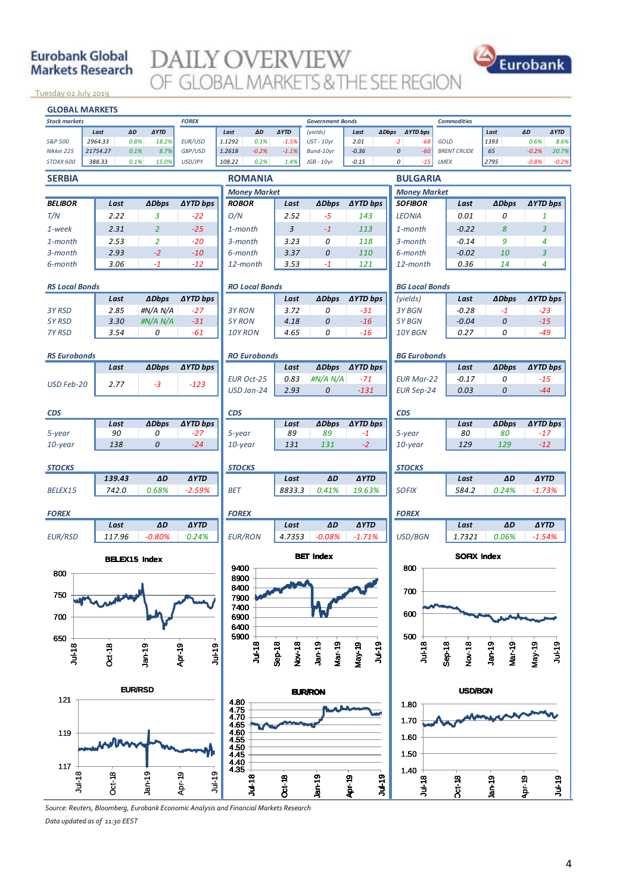## **Eurobank Global Markets Research**

**DAILY OVERVIEW** OF GLOBAL MARKETS & THE SEE REGION



<u>Tuesday o2 July 2019 </u>



*Source: Reuters, Bloomberg, Eurobank Economic Analysis and Financial Markets Research Data updated as of 11:30 EEST*